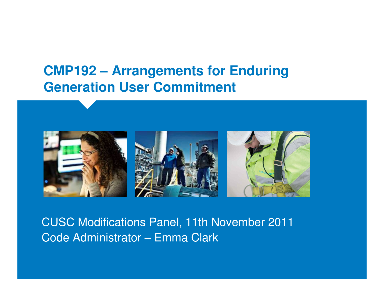# **CMP192 – Arrangements for Enduring Generation User Commitment**



CUSC Modifications Panel, 11th November 2011Code Administrator – Emma Clark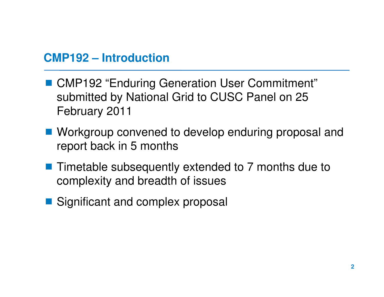#### **CMP192 – Introduction**

- CMP192 "Enduring Generation User Commitment"<br>Submitted by National Grid to CUSC Panel on 25 submitted by National Grid to CUSC Panel on 25 February 2011
- Workgroup convened to develop enduring proposal and<br>report back in 5 months report back in 5 months
- Timetable subsequently extended to 7 months due to<br>complexity and broadth of issues complexity and breadth of issues
- Significant and complex proposal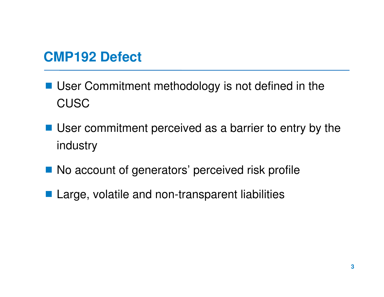# **CMP192 Defect**

- User Commitment methodology is not defined in the **CUSC**
- User commitment perceived as a barrier to entry by the industry
- No account of generators' perceived risk profile
- Large, volatile and non-transparent liabilities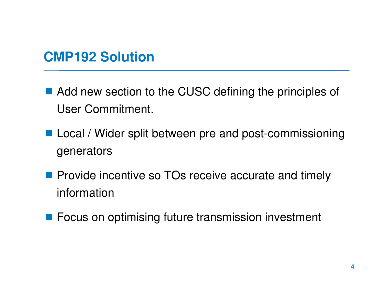# **CMP192 Solution**

- Add new section to the CUSC defining the principles of User Commitment.
- Local / Wider split between pre and post-commissioning generators
- **Provide incentive so TOs receive accurate and timely** information
- **Figure 1** Focus on optimising future transmission investment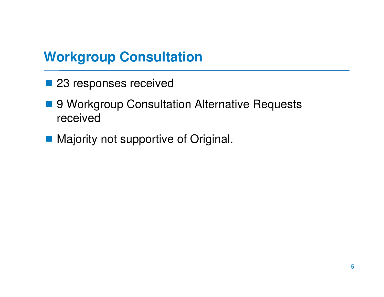# **Workgroup Consultation**

- 23 responses received
- 9 Workgroup Consultation Alternative Requests received
- **Majority not supportive of Original.**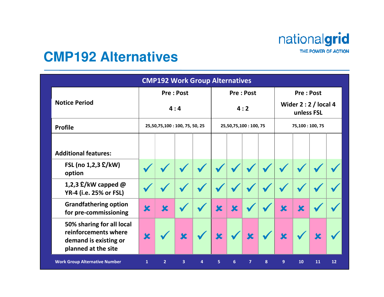nationalgrid THE POWER OF ACTION

### **CMP192 Alternatives**

|                                                                                                   |                                | <b>CMP192 Work Group Alternatives</b> |   |   |                         |                         |                         |   |                                                         |             |    |    |
|---------------------------------------------------------------------------------------------------|--------------------------------|---------------------------------------|---|---|-------------------------|-------------------------|-------------------------|---|---------------------------------------------------------|-------------|----|----|
|                                                                                                   | <b>Pre: Post</b><br>4:4        |                                       |   |   | <b>Pre: Post</b><br>4:2 |                         |                         |   | <b>Pre: Post</b><br>Wider $2:2$ / local 4<br>unless FSL |             |    |    |
| <b>Notice Period</b>                                                                              |                                |                                       |   |   |                         |                         |                         |   |                                                         |             |    |    |
| <b>Profile</b>                                                                                    | 25,50,75,100 : 100, 75, 50, 25 |                                       |   |   | 25,50,75,100:100,75     |                         |                         |   | 75,100:100,75                                           |             |    |    |
|                                                                                                   |                                |                                       |   |   |                         |                         |                         |   |                                                         |             |    |    |
| <b>Additional features:</b>                                                                       |                                |                                       |   |   |                         |                         |                         |   |                                                         |             |    |    |
| FSL (no 1,2,3 £/kW)<br>option                                                                     |                                |                                       |   |   |                         |                         |                         |   |                                                         |             |    |    |
| 1,2,3 $E/KW$ capped $@$<br>YR-4 (i.e. 25% or FSL)                                                 |                                |                                       |   |   |                         |                         |                         |   |                                                         |             |    |    |
| <b>Grandfathering option</b><br>for pre-commissioning                                             | $\overline{\textbf{x}}$        | $\overline{\mathbf{x}}$               |   |   | $\overline{\mathbf{x}}$ | $\overline{\mathbf{x}}$ |                         |   | $\overline{\mathbf{x}}$                                 | $\mathbf x$ |    |    |
| 50% sharing for all local<br>reinforcements where<br>demand is existing or<br>planned at the site | X                              |                                       | X |   | $\overline{\textbf{x}}$ |                         | $\overline{\textbf{x}}$ |   | $\mathbf x$                                             |             |    |    |
| <b>Work Group Alternative Number</b>                                                              | $\mathbf{1}$                   | $\overline{2}$                        | 3 | 4 | 5                       | 6                       | $\overline{7}$          | 8 | 9                                                       | 10          | 11 | 12 |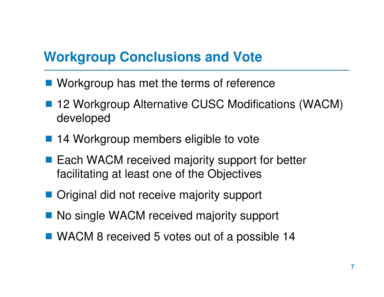# **Workgroup Conclusions and Vote**

- **Norkgroup has met the terms of reference**
- 12 Workgroup Alternative CUSC Modifications (WACM) developed
- 14 Workgroup members eligible to vote
- Each WACM received majority support for better<br>facilitating at least one of the Objectives facilitating at least one of the Objectives
- Original did not receive majority support
- No single WACM received majority support
- WACM 8 received 5 votes out of a possible 14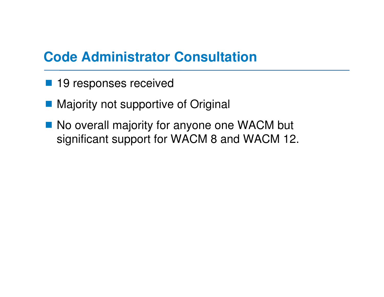# **Code Administrator Consultation**

- 19 responses received
- Majority not supportive of Original
- No overall majority for anyone one WACM but<br>Significant support for WACM 8 and WACM 12 significant support for WACM 8 and WACM 12.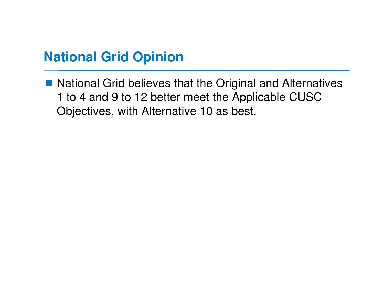# **National Grid Opinion**

■ National Grid believes that the Original and Alternatives<br>1 to 4 and 9 to 12 better moot the Applicable CLISC 1 to 4 and 9 to 12 better meet the Applicable CUSC Objectives, with Alternative 10 as best.